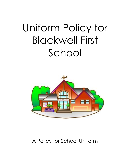# Uniform Policy for Blackwell First School



# A Policy for School Uniform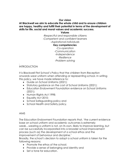# **Our vision**

# **At Blackwell we aim to educate the whole child and to ensure children are happy, healthy and fulfill their potential in terms of the development of skills for life, social and moral values and academic success.**

**Values**

*-Respectful and responsible citizens -Competent and confident learners -Aspirational individuals*

#### **Key competencies**

*-Co-operation -Communication -Independence -Resilience -Problem solving*

#### *.* **INTRODUCTION**

It is Blackwell First School's Policy that the children from Reception onwards wear uniform when attending or representing school. In writing this policy, we have made reference to:

- Guide on School Uniforms (2021);
- Statutory guidance on the cost of School Uniforms (2021);
- Education Endowment Foundation evidence on School Uniforms (2021);
- Human Rights Act 1998;
- Equality Act 2010;
- School Safeguarding policy and
- School Health and Safety policy.

#### AIMS

The Education Endowment Foundation reports that, 'the current evidence base on school uniform and academic outcomes is extremely weak…wearing a uniform is not, on its own, likely to improve learning, but can be successfully incorporated into a broader school improvement process (such as) the development of a school ethos and the improvement of behaviour and discipline.'

Broadly, the school's decision to adopt a school uniform is taken for the following reasons:

- Promote the ethos of the school;
- Provide a sense of belonging and identity and
- Set a tone for education.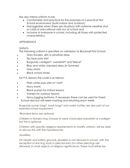We also intend uniform to be:

- Comfortable and practical for the purposes of a practical First School environment (both indoor and outdoor);
- Manageable when there are situations with extreme weather (hot or cold) or educational visits out of school and
- Inclusive of everyone in school, including all those with protected characteristics.

# APPEARANCE

# Uniform

The following uniform is specified on admission to Blackwell First School.

- Grey trousers, skirt or pinafore dress
- Sky blue polo shirt
- Burgundy cardigan\*, sweatshirt\* and fleece\*
- Blue and white checked dress (in Summer)
- Grey shorts
- Black school shoes

For P.E. lessons the code is as follows:

- Plain white polo shirt or T shirt\*
- Navy shorts
- Black pumps for indoor lessons
- Trainers for outdoor lessons
- Navy jogging bottoms. If necessary these can be used for Forest School also but will need washing and returning each week.

Burgundy pump bags\*, book bags\* and water bottles are also part of our essential school equipment.

\*Branded items are optional.

Children in Nursery may choose to wear a branded sweatshirt or cardigan but this is optional.

Children with specific religious requirements to modify uniform, will be able to discuss this with the headteacher.

#### **Jewellery**

On Health and Safety grounds, jewellery is not allowed in school, with the exception of ear ring studs in pierced ears (no other piercings are allowed) or small objects of religious significance. These must either be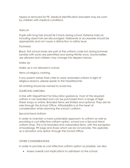taped or removed for PE. Medical identification bracelets may be worn by children with medical conditions.

#### **Haircuts**

Pupils with long hair should tie it back during school. Extreme haircuts including dyed hair are discouraged. Hairbands or accessories should be appropriate and not cause a distraction or safety issue.

#### **Footwear**

Black, flat school shoes are part of the uniform code but during Summer, sandals with socks are permitted and during Winter snow, boots/wellies are allowed and children may change into slippers indoors.

# Make Up

Make up is not allowed in school.

Items of religious clothing

If any parent wishes their child to wear amended uniform in light of religious reasons, please speak to the headteacher.

All clothing should be named to avoid loss.

# SOURCING UNIFORM

In line with Department for Education guidance, most of the required uniform is non branded and can be purchased from a range of High Street shops or online. Branded items are limited and optional. They are for sale through the School Office. Affordability is at the heart of consideration when planning the school's uniform.

# Second Hand Uniform

In order to maintain a more sustainable approach to uniform as well as providing a cost effective uniform option, school runs a Second Hand uniform shop. This is for branded and unbranded items, with the exception of bookbags, PE bags and shoes which we do not provide. This operates as a donation only option through the School Office.

# OTHER CONSIDERATIONS

In order to provide as cost effective uniform option as possible, we also:

Assess overall cost implications to admission to the school;